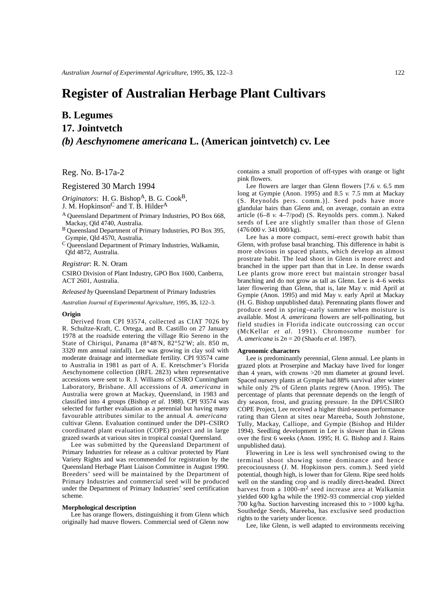## **Register of Australian Herbage Plant Cultivars**

# **B. Legumes 17. Jointvetch** *(b) Aeschynomene americana* **L. (American jointvetch) cv. Lee**

Reg. No. B-17a-2

### Registered 30 March 1994

*Originators*: H. G. BishopA, B. G. CookB,

J. M. Hopkinson<sup>C</sup> and T. B. Hilder<sup>A</sup>

A Queensland Department of Primary Industries, PO Box 668, Mackay, Qld 4740, Australia.

B Queensland Department of Primary Industries, PO Box 395, Gympie, Qld 4570, Australia.

C Queensland Department of Primary Industries, Walkamin, Qld 4872, Australia.

### *Registrar*: R. N. Oram

CSIRO Division of Plant Industry, GPO Box 1600, Canberra, ACT 2601, Australia.

*Released by* Queensland Department of Primary Industries

*Australian Journal of Experimental Agriculture,* 1995, **35**, 122–3.

### **Origin**

Derived from CPI 93574, collected as CIAT 7026 by R. Schultze-Kraft, C. Ortega, and B. Castillo on 27 January 1978 at the roadside entering the village Rio Sereno in the State of Chiriqui, Panama (8°48'N, 82°52'W; alt. 850 m, 3320 mm annual rainfall). Lee was growing in clay soil with moderate drainage and intermediate fertility. CPI 93574 came to Australia in 1981 as part of A. E. Kretschmer's Florida Aeschynomene collection (IRFL 2823) when representative accessions were sent to R. J. Williams of CSIRO Cunningham Laboratory, Brisbane. All accessions of *A. americana* in Australia were grown at Mackay, Queensland, in 1983 and classified into 4 groups (Bishop *et al*. 1988). CPI 93574 was selected for further evaluation as a perennial but having many favourable attributes similar to the annual *A. americana* cultivar Glenn. Evaluation continued under the DPI–CSIRO coordinated plant evaluation (COPE) project and in large grazed swards at various sites in tropical coastal Queensland.

Lee was submitted by the Queensland Department of Primary Industries for release as a cultivar protected by Plant Variety Rights and was recommended for registration by the Queensland Herbage Plant Liaison Committee in August 1990. Breeders' seed will be maintained by the Department of Primary Industries and commercial seed will be produced under the Department of Primary Industries' seed certification scheme.

#### **Morphological description**

Lee has orange flowers, distinguishing it from Glenn which originally had mauve flowers. Commercial seed of Glenn now

contains a small proportion of off-types with orange or light pink flowers.

Lee flowers are larger than Glenn flowers [7.6 *v.* 6.5 mm long at Gympie (Anon. 1995) and 8.5 *v.* 7.5 mm at Mackay (S. Reynolds pers. comm.)]. Seed pods have more glandular hairs than Glenn and, on average, contain an extra article (6–8 *v.* 4–7/pod) (S. Reynolds pers. comm.). Naked seeds of Lee are slightly smaller than those of Glenn (476 000 *v*. 341 000/kg).

Lee has a more compact, semi-erect growth habit than Glenn, with profuse basal branching. This difference in habit is more obvious in spaced plants, which develop an almost prostrate habit. The lead shoot in Glenn is more erect and branched in the upper part than that in Lee. In dense swards Lee plants grow more erect but maintain stronger basal branching and do not grow as tall as Glenn. Lee is 4–6 weeks later flowering than Glenn, that is, late May *v.* mid April at Gympie (Anon. 1995) and mid May *v.* early April at Mackay (H. G. Bishop unpublished data). Perennating plants flower and produce seed in spring–early summer when moisture is available. Most *A. americana* flowers are self-pollinating, but field studies in Florida indicate outcrossing can occur (McKellar *et al*. 1991). Chromosome number for *A. americana* is 2*n* = 20 (Shaofu *et al*. 1987).

### **Agronomic characters**

Lee is predominantly perennial, Glenn annual. Lee plants in grazed plots at Proserpine and Mackay have lived for longer than 4 years, with crowns >20 mm diameter at ground level. Spaced nursery plants at Gympie had 88% survival after winter while only 2% of Glenn plants regrew (Anon. 1995). The percentage of plants that perennate depends on the length of dry season, frost, and grazing pressure. In the DPI/CSIRO COPE Project, Lee received a higher third-season performance rating than Glenn at sites near Mareeba, South Johnstone, Tully, Mackay, Calliope, and Gympie (Bishop and Hilder 1994). Seedling development in Lee is slower than in Glenn over the first 6 weeks (Anon. 1995; H. G. Bishop and J. Rains unpublished data).

Flowering in Lee is less well synchronised owing to the terminal shoot showing some dominance and hence precociousness (J. M. Hopkinson pers. comm.). Seed yield potential, though high, is lower than for Glenn. Ripe seed holds well on the standing crop and is readily direct-headed. Direct harvest from a 1000-m<sup>2</sup> seed increase area at Walkamin yielded 600 kg/ha while the 1992–93 commercial crop yielded 700 kg/ha. Suction harvesting increased this to >1000 kg/ha. Southedge Seeds, Mareeba, has exclusive seed production rights to the variety under licence.

Lee, like Glenn, is well adapted to environments receiving